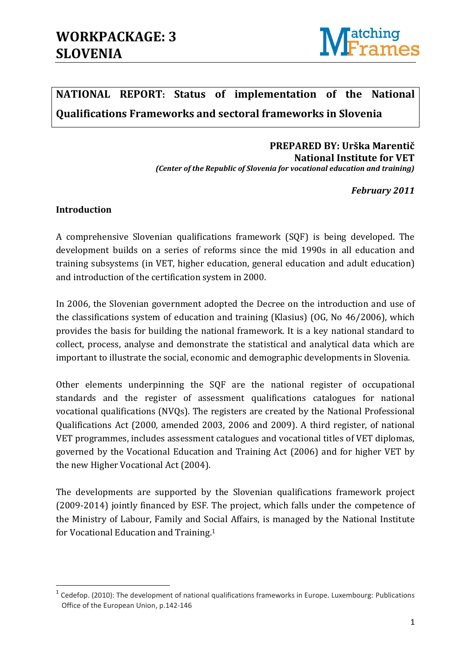

## **NATIONAL REPORT: Status of implementation of the National Qualifications Frameworks and sectoral frameworks in Slovenia**

#### **PREPARED BY: Urška Marentič National Institute for VET**  *(Center of the Republic of Slovenia for vocational education and training)*

*February 2011*

#### **Introduction**

**.** 

A comprehensive Slovenian qualifications framework (SQF) is being developed. The development builds on a series of reforms since the mid 1990s in all education and training subsystems (in VET, higher education, general education and adult education) and introduction of the certification system in 2000.

In 2006, the Slovenian government adopted the Decree on the introduction and use of the classifications system of education and training (Klasius) (OG, No 46/2006), which provides the basis for building the national framework. It is a key national standard to collect, process, analyse and demonstrate the statistical and analytical data which are important to illustrate the social, economic and demographic developments in Slovenia.

Other elements underpinning the SQF are the national register of occupational standards and the register of assessment qualifications catalogues for national vocational qualifications (NVQs). The registers are created by the National Professional Qualifications Act (2000, amended 2003, 2006 and 2009). A third register, of national VET programmes, includes assessment catalogues and vocational titles of VET diplomas, governed by the Vocational Education and Training Act (2006) and for higher VET by the new Higher Vocational Act (2004).

The developments are supported by the Slovenian qualifications framework project (2009-2014) jointly financed by ESF. The project, which falls under the competence of the Ministry of Labour, Family and Social Affairs, is managed by the National Institute for Vocational Education and Training.<sup>1</sup>

<sup>&</sup>lt;sup>1</sup> Cedefop. (2010): The development of national qualifications frameworks in Europe. Luxembourg: Publications Office of the European Union, p.142-146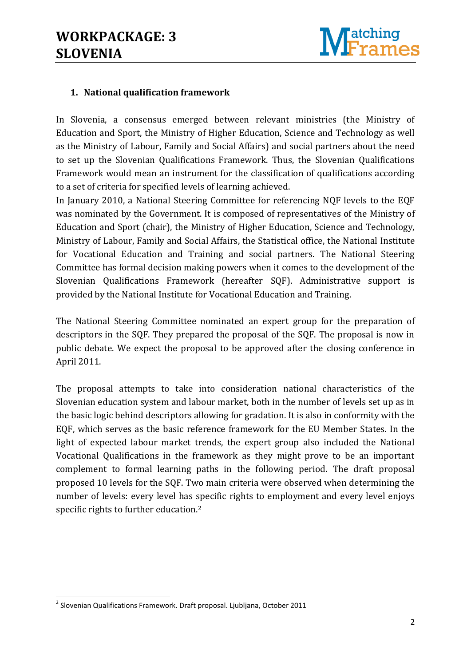

### **1. National qualification framework**

In Slovenia, a consensus emerged between relevant ministries (the Ministry of Education and Sport, the Ministry of Higher Education, Science and Technology as well as the Ministry of Labour, Family and Social Affairs) and social partners about the need to set up the Slovenian Qualifications Framework. Thus, the Slovenian Qualifications Framework would mean an instrument for the classification of qualifications according to a set of criteria for specified levels of learning achieved.

In January 2010, a National Steering Committee for referencing NQF levels to the EQF was nominated by the Government. It is composed of representatives of the Ministry of Education and Sport (chair), the Ministry of Higher Education, Science and Technology, Ministry of Labour, Family and Social Affairs, the Statistical office, the National Institute for Vocational Education and Training and social partners. The National Steering Committee has formal decision making powers when it comes to the development of the Slovenian Qualifications Framework (hereafter SQF). Administrative support is provided by the National Institute for Vocational Education and Training.

The National Steering Committee nominated an expert group for the preparation of descriptors in the SQF. They prepared the proposal of the SQF. The proposal is now in public debate. We expect the proposal to be approved after the closing conference in April 2011.

The proposal attempts to take into consideration national characteristics of the Slovenian education system and labour market, both in the number of levels set up as in the basic logic behind descriptors allowing for gradation. It is also in conformity with the EQF, which serves as the basic reference framework for the EU Member States. In the light of expected labour market trends, the expert group also included the National Vocational Qualifications in the framework as they might prove to be an important complement to formal learning paths in the following period. The draft proposal proposed 10 levels for the SQF. Two main criteria were observed when determining the number of levels: every level has specific rights to employment and every level enjoys specific rights to further education.<sup>2</sup>

**.** 

<sup>&</sup>lt;sup>2</sup> Slovenian Qualifications Framework. Draft proposal. Ljubljana, October 2011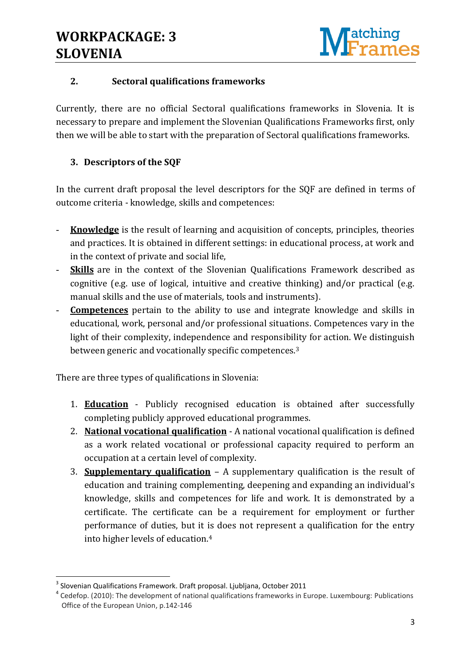

## **2. Sectoral qualifications frameworks**

Currently, there are no official Sectoral qualifications frameworks in Slovenia. It is necessary to prepare and implement the Slovenian Qualifications Frameworks first, only then we will be able to start with the preparation of Sectoral qualifications frameworks.

## **3. Descriptors of the SQF**

In the current draft proposal the level descriptors for the SQF are defined in terms of outcome criteria - knowledge, skills and competences:

- **Knowledge** is the result of learning and acquisition of concepts, principles, theories and practices. It is obtained in different settings: in educational process, at work and in the context of private and social life,
- **Skills** are in the context of the Slovenian Qualifications Framework described as cognitive (e.g. use of logical, intuitive and creative thinking) and/or practical (e.g. manual skills and the use of materials, tools and instruments).
- **Competences** pertain to the ability to use and integrate knowledge and skills in educational, work, personal and/or professional situations. Competences vary in the light of their complexity, independence and responsibility for action. We distinguish between generic and vocationally specific competences.<sup>3</sup>

There are three types of qualifications in Slovenia:

- 1. **Education** Publicly recognised education is obtained after successfully completing publicly approved educational programmes.
- 2. **National vocational qualification** A national vocational qualification is defined as a work related vocational or professional capacity required to perform an occupation at a certain level of complexity.
- 3. **Supplementary qualification** A supplementary qualification is the result of education and training complementing, deepening and expanding an individual's knowledge, skills and competences for life and work. It is demonstrated by a certificate. The certificate can be a requirement for employment or further performance of duties, but it is does not represent a qualification for the entry into higher levels of education.<sup>4</sup>

**.** 

 $3$  Slovenian Qualifications Framework. Draft proposal. Ljubljana, October 2011

<sup>&</sup>lt;sup>4</sup> Cedefop. (2010): The development of national qualifications frameworks in Europe. Luxembourg: Publications Office of the European Union, p.142-146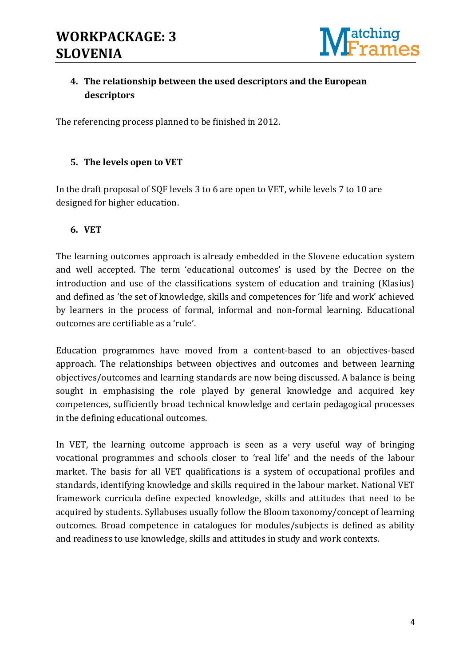

## **4. The relationship between the used descriptors and the European descriptors**

The referencing process planned to be finished in 2012.

## **5. The levels open to VET**

In the draft proposal of SQF levels 3 to 6 are open to VET, while levels 7 to 10 are designed for higher education.

#### **6. VET**

The learning outcomes approach is already embedded in the Slovene education system and well accepted. The term 'educational outcomes' is used by the Decree on the introduction and use of the classifications system of education and training (Klasius) and defined as 'the set of knowledge, skills and competences for 'life and work' achieved by learners in the process of formal, informal and non-formal learning. Educational outcomes are certifiable as a 'rule'.

Education programmes have moved from a content-based to an objectives-based approach. The relationships between objectives and outcomes and between learning objectives/outcomes and learning standards are now being discussed. A balance is being sought in emphasising the role played by general knowledge and acquired key competences, sufficiently broad technical knowledge and certain pedagogical processes in the defining educational outcomes.

In VET, the learning outcome approach is seen as a very useful way of bringing vocational programmes and schools closer to 'real life' and the needs of the labour market. The basis for all VET qualifications is a system of occupational profiles and standards, identifying knowledge and skills required in the labour market. National VET framework curricula define expected knowledge, skills and attitudes that need to be acquired by students. Syllabuses usually follow the Bloom taxonomy/concept of learning outcomes. Broad competence in catalogues for modules/subjects is defined as ability and readiness to use knowledge, skills and attitudes in study and work contexts.